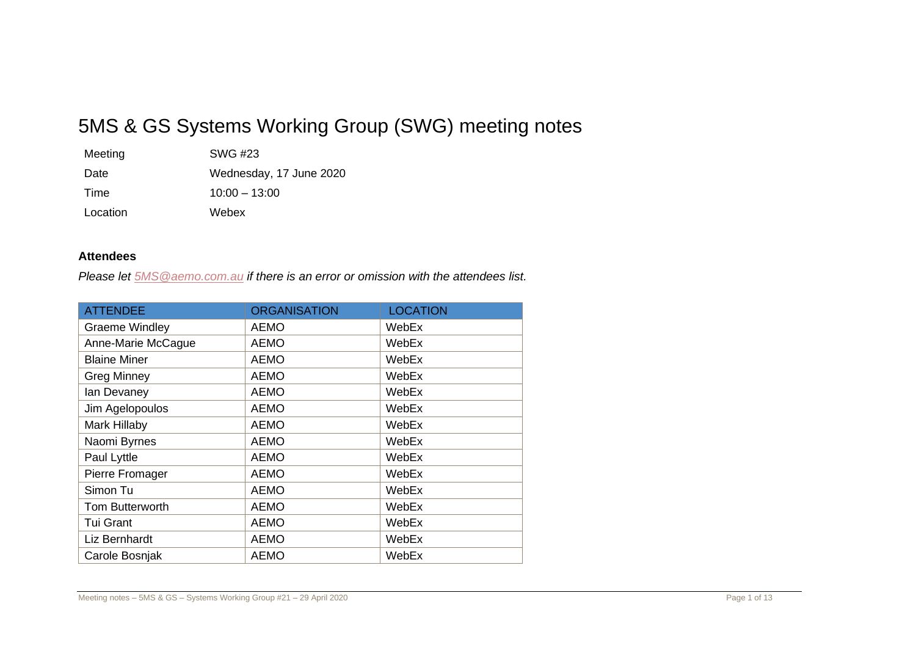# 5MS & GS Systems Working Group (SWG) meeting notes

| Meeting  | SWG #23                 |
|----------|-------------------------|
| Date     | Wednesday, 17 June 2020 |
| Time     | $10:00 - 13:00$         |
| Location | Webex                   |

## **Attendees**

*Please let [5MS@aemo.com.au](mailto:5MS@aemo.com.au) if there is an error or omission with the attendees list.*

| <b>ATTENDEE</b>       | <b>ORGANISATION</b> | <b>LOCATION</b> |
|-----------------------|---------------------|-----------------|
| <b>Graeme Windley</b> | <b>AEMO</b>         | WebEx           |
| Anne-Marie McCague    | <b>AEMO</b>         | WebEx           |
| <b>Blaine Miner</b>   | <b>AEMO</b>         | WebEx           |
| <b>Greg Minney</b>    | <b>AEMO</b>         | WebEx           |
| lan Devaney           | <b>AEMO</b>         | WebEx           |
| Jim Agelopoulos       | <b>AEMO</b>         | WebEx           |
| Mark Hillaby          | <b>AEMO</b>         | WebEx           |
| Naomi Byrnes          | <b>AEMO</b>         | WebEx           |
| Paul Lyttle           | <b>AEMO</b>         | WebEx           |
| Pierre Fromager       | <b>AEMO</b>         | WebEx           |
| Simon Tu              | <b>AEMO</b>         | WebEx           |
| Tom Butterworth       | <b>AEMO</b>         | WebEx           |
| <b>Tui Grant</b>      | <b>AEMO</b>         | WebEx           |
| Liz Bernhardt         | <b>AEMO</b>         | WebEx           |
| Carole Bosnjak        | <b>AEMO</b>         | WebEx           |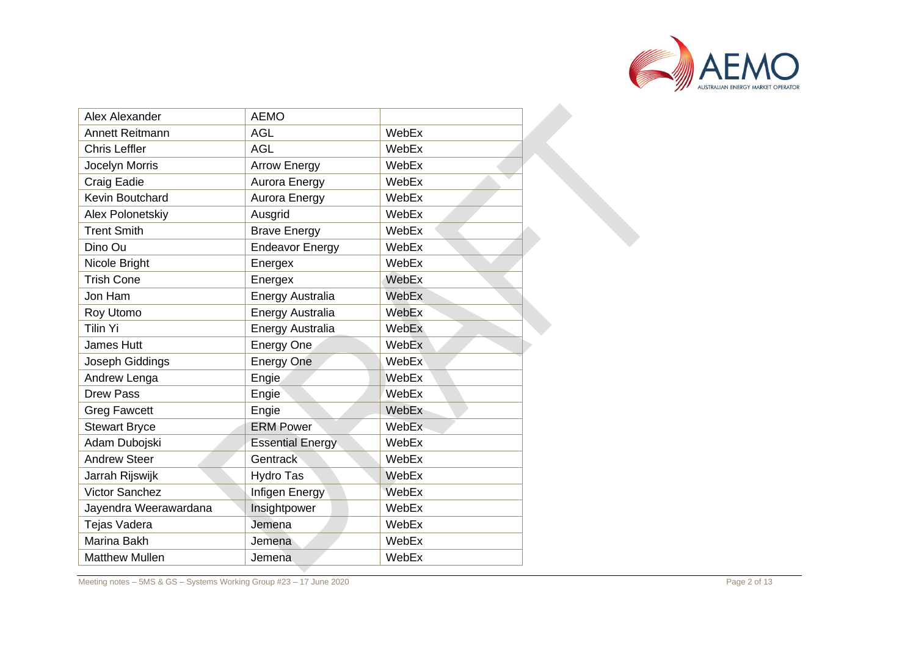

| Alex Alexander         | <b>AEMO</b>             |              |
|------------------------|-------------------------|--------------|
| <b>Annett Reitmann</b> | <b>AGL</b>              | WebEx        |
| <b>Chris Leffler</b>   | <b>AGL</b>              | WebEx        |
| Jocelyn Morris         | <b>Arrow Energy</b>     | WebEx        |
| Craig Eadie            | Aurora Energy           | WebEx        |
| Kevin Boutchard        | Aurora Energy           | WebEx        |
| Alex Polonetskiy       | Ausgrid                 | WebEx        |
| <b>Trent Smith</b>     | <b>Brave Energy</b>     | WebEx        |
| Dino Ou                | <b>Endeavor Energy</b>  | WebEx        |
| Nicole Bright          | Energex                 | WebEx        |
| <b>Trish Cone</b>      | Energex                 | WebEx        |
| Jon Ham                | <b>Energy Australia</b> | WebEx        |
| Roy Utomo              | Energy Australia        | WebEx        |
| <b>Tilin Yi</b>        | <b>Energy Australia</b> | WebEx        |
| <b>James Hutt</b>      | Energy One              | WebEx        |
| Joseph Giddings        | <b>Energy One</b>       | WebEx        |
| Andrew Lenga           | Engie                   | <b>WebEx</b> |
| <b>Drew Pass</b>       | Engie                   | WebEx        |
| <b>Greg Fawcett</b>    | Engie                   | WebEx        |
| <b>Stewart Bryce</b>   | <b>ERM Power</b>        | WebEx        |
| Adam Dubojski          | <b>Essential Energy</b> | WebEx        |
| <b>Andrew Steer</b>    | Gentrack                | WebEx        |
| Jarrah Rijswijk        | Hydro Tas               | WebEx        |
| <b>Victor Sanchez</b>  | Infigen Energy          | WebEx        |
| Jayendra Weerawardana  | Insightpower            | WebEx        |
| Tejas Vadera           | Jemena                  | WebEx        |
| <b>Marina Bakh</b>     | Jemena                  | WebEx        |
| <b>Matthew Mullen</b>  | Jemena                  | WebEx        |
|                        |                         |              |

Meeting notes – 5MS & GS – Systems Working Group #23 – 17 June 2020 **Page 19 Steps 10 Step 2020** Page 19 November 2020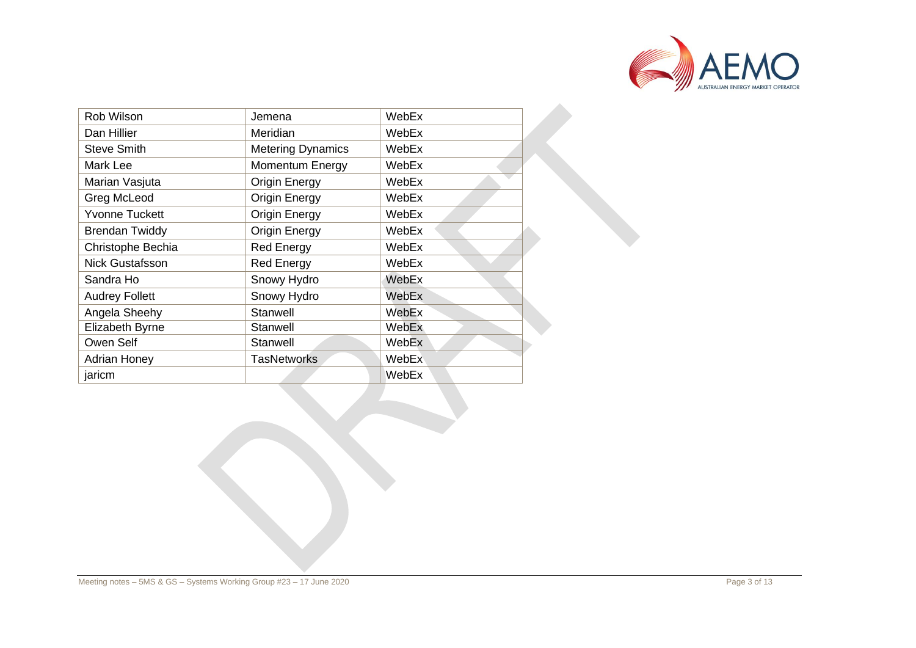

| Rob Wilson             | Jemena                   | WebEx |
|------------------------|--------------------------|-------|
| Dan Hillier            | Meridian                 | WebEx |
| <b>Steve Smith</b>     | <b>Metering Dynamics</b> | WebEx |
| Mark Lee               | Momentum Energy          | WebEx |
| Marian Vasjuta         | <b>Origin Energy</b>     | WebEx |
| Greg McLeod            | <b>Origin Energy</b>     | WebEx |
| <b>Yvonne Tuckett</b>  | Origin Energy            | WebEx |
| <b>Brendan Twiddy</b>  | <b>Origin Energy</b>     | WebEx |
| Christophe Bechia      | <b>Red Energy</b>        | WebEx |
| <b>Nick Gustafsson</b> | <b>Red Energy</b>        | WebEx |
| Sandra Ho              | Snowy Hydro              | WebEx |
| <b>Audrey Follett</b>  | Snowy Hydro              | WebEx |
| Angela Sheehy          | Stanwell                 | WebEx |
| Elizabeth Byrne        | Stanwell                 | WebEx |
| Owen Self              | Stanwell                 | WebEx |
| <b>Adrian Honey</b>    | <b>TasNetworks</b>       | WebEx |
| jaricm                 |                          | WebEx |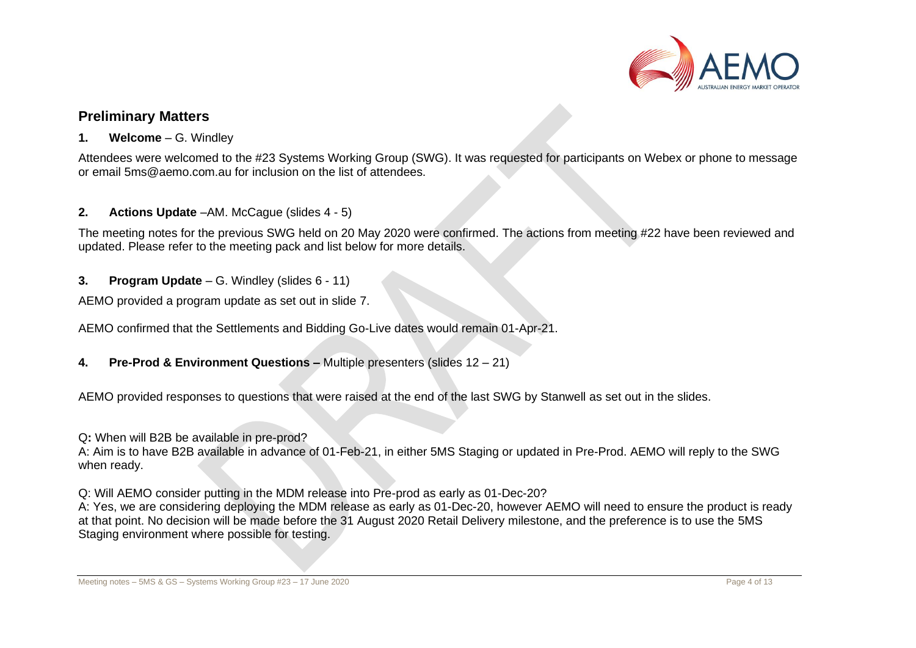

## **Preliminary Matters**

## **1. Welcome** – G. Windley

Attendees were welcomed to the #23 Systems Working Group (SWG). It was requested for participants on Webex or phone to message or email [5ms@aemo.com.au](mailto:5ms@aemo.com.au) for inclusion on the list of attendees.

## **2. Actions Update** –AM. McCague (slides 4 - 5)

The meeting notes for the previous SWG held on 20 May 2020 were confirmed. The actions from meeting #22 have been reviewed and updated. Please refer to the meeting pack and list below for more details.

## **3. Program Update** – G. Windley (slides 6 - 11)

AEMO provided a program update as set out in slide 7.

AEMO confirmed that the Settlements and Bidding Go-Live dates would remain 01-Apr-21.

## **4. Pre-Prod & Environment Questions –** Multiple presenters (slides 12 – 21)

AEMO provided responses to questions that were raised at the end of the last SWG by Stanwell as set out in the slides.

#### Q**:** When will B2B be available in pre-prod?

A: Aim is to have B2B available in advance of 01-Feb-21, in either 5MS Staging or updated in Pre-Prod. AEMO will reply to the SWG when ready.

Q: Will AEMO consider putting in the MDM release into Pre-prod as early as 01-Dec-20?

A: Yes, we are considering deploying the MDM release as early as 01-Dec-20, however AEMO will need to ensure the product is ready at that point. No decision will be made before the 31 August 2020 Retail Delivery milestone, and the preference is to use the 5MS Staging environment where possible for testing.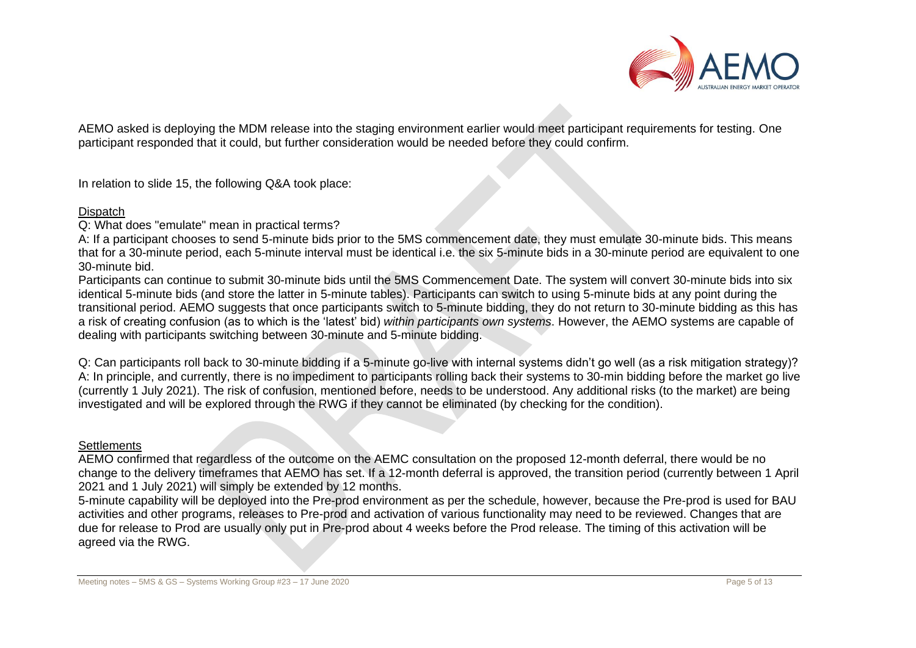

AEMO asked is deploying the MDM release into the staging environment earlier would meet participant requirements for testing. One participant responded that it could, but further consideration would be needed before they could confirm.

In relation to slide 15, the following Q&A took place:

#### **Dispatch**

Q: What does "emulate" mean in practical terms?

A: If a participant chooses to send 5-minute bids prior to the 5MS commencement date, they must emulate 30-minute bids. This means that for a 30-minute period, each 5-minute interval must be identical i.e. the six 5-minute bids in a 30-minute period are equivalent to one 30-minute bid.

Participants can continue to submit 30-minute bids until the 5MS Commencement Date. The system will convert 30-minute bids into six identical 5-minute bids (and store the latter in 5-minute tables). Participants can switch to using 5-minute bids at any point during the transitional period. AEMO suggests that once participants switch to 5-minute bidding, they do not return to 30-minute bidding as this has a risk of creating confusion (as to which is the 'latest' bid) *within participants own systems*. However, the AEMO systems are capable of dealing with participants switching between 30-minute and 5-minute bidding.

Q: Can participants roll back to 30-minute bidding if a 5-minute go-live with internal systems didn't go well (as a risk mitigation strategy)? A: In principle, and currently, there is no impediment to participants rolling back their systems to 30-min bidding before the market go live (currently 1 July 2021). The risk of confusion, mentioned before, needs to be understood. Any additional risks (to the market) are being investigated and will be explored through the RWG if they cannot be eliminated (by checking for the condition).

#### **Settlements**

AEMO confirmed that regardless of the outcome on the AEMC consultation on the proposed 12-month deferral, there would be no change to the delivery timeframes that AEMO has set. If a 12-month deferral is approved, the transition period (currently between 1 April 2021 and 1 July 2021) will simply be extended by 12 months.

5-minute capability will be deployed into the Pre-prod environment as per the schedule, however, because the Pre-prod is used for BAU activities and other programs, releases to Pre-prod and activation of various functionality may need to be reviewed. Changes that are due for release to Prod are usually only put in Pre-prod about 4 weeks before the Prod release. The timing of this activation will be agreed via the RWG.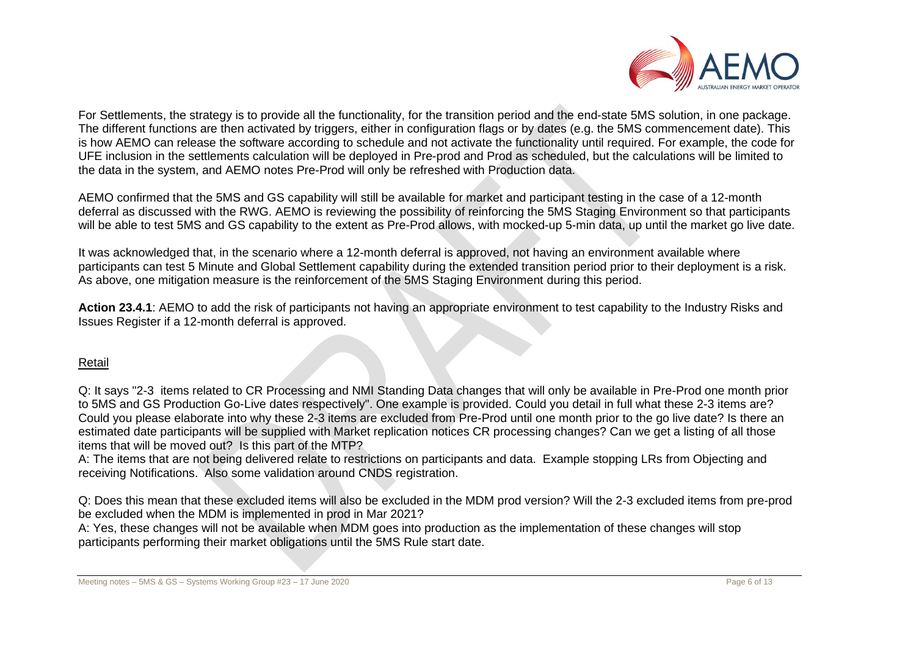

For Settlements, the strategy is to provide all the functionality, for the transition period and the end-state 5MS solution, in one package. The different functions are then activated by triggers, either in configuration flags or by dates (e.g. the 5MS commencement date). This is how AEMO can release the software according to schedule and not activate the functionality until required. For example, the code for UFE inclusion in the settlements calculation will be deployed in Pre-prod and Prod as scheduled, but the calculations will be limited to the data in the system, and AEMO notes Pre-Prod will only be refreshed with Production data.

AEMO confirmed that the 5MS and GS capability will still be available for market and participant testing in the case of a 12-month deferral as discussed with the RWG. AEMO is reviewing the possibility of reinforcing the 5MS Staging Environment so that participants will be able to test 5MS and GS capability to the extent as Pre-Prod allows, with mocked-up 5-min data, up until the market go live date.

It was acknowledged that, in the scenario where a 12-month deferral is approved, not having an environment available where participants can test 5 Minute and Global Settlement capability during the extended transition period prior to their deployment is a risk. As above, one mitigation measure is the reinforcement of the 5MS Staging Environment during this period.

**Action 23.4.1**: AEMO to add the risk of participants not having an appropriate environment to test capability to the Industry Risks and Issues Register if a 12-month deferral is approved.

#### Retail

Q: It says "2-3 items related to CR Processing and NMI Standing Data changes that will only be available in Pre-Prod one month prior to 5MS and GS Production Go-Live dates respectively". One example is provided. Could you detail in full what these 2-3 items are? Could you please elaborate into why these 2-3 items are excluded from Pre-Prod until one month prior to the go live date? Is there an estimated date participants will be supplied with Market replication notices CR processing changes? Can we get a listing of all those items that will be moved out? Is this part of the MTP?

A: The items that are not being delivered relate to restrictions on participants and data. Example stopping LRs from Objecting and receiving Notifications. Also some validation around CNDS registration.

Q: Does this mean that these excluded items will also be excluded in the MDM prod version? Will the 2-3 excluded items from pre-prod be excluded when the MDM is implemented in prod in Mar 2021?

A: Yes, these changes will not be available when MDM goes into production as the implementation of these changes will stop participants performing their market obligations until the 5MS Rule start date.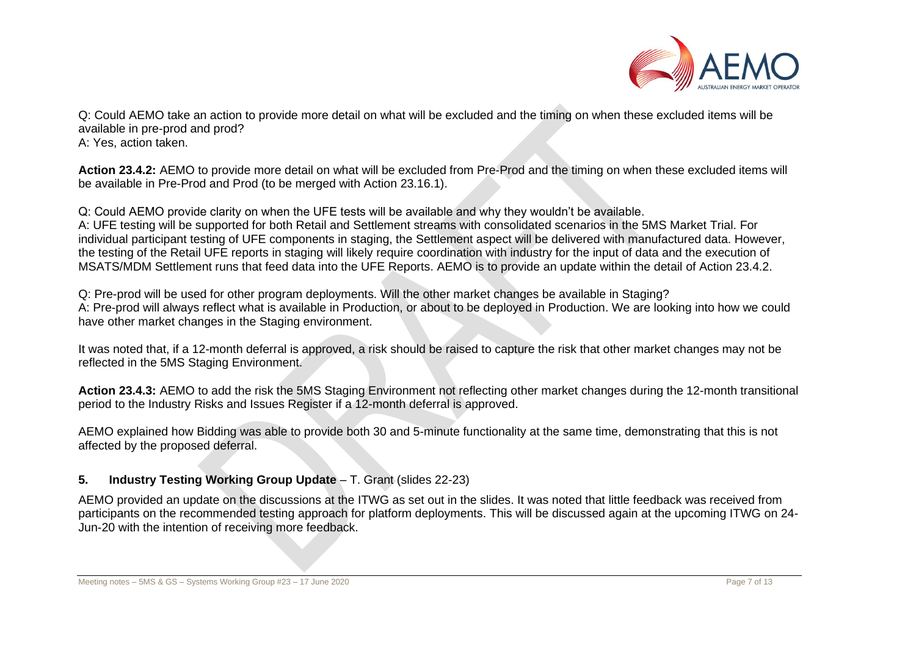

Q: Could AEMO take an action to provide more detail on what will be excluded and the timing on when these excluded items will be available in pre-prod and prod? A: Yes, action taken.

**Action 23.4.2:** AEMO to provide more detail on what will be excluded from Pre-Prod and the timing on when these excluded items will be available in Pre-Prod and Prod (to be merged with Action 23.16.1).

Q: Could AEMO provide clarity on when the UFE tests will be available and why they wouldn't be available. A: UFE testing will be supported for both Retail and Settlement streams with consolidated scenarios in the 5MS Market Trial. For individual participant testing of UFE components in staging, the Settlement aspect will be delivered with manufactured data. However, the testing of the Retail UFE reports in staging will likely require coordination with industry for the input of data and the execution of MSATS/MDM Settlement runs that feed data into the UFE Reports. AEMO is to provide an update within the detail of Action 23.4.2.

Q: Pre-prod will be used for other program deployments. Will the other market changes be available in Staging? A: Pre-prod will always reflect what is available in Production, or about to be deployed in Production. We are looking into how we could have other market changes in the Staging environment.

It was noted that, if a 12-month deferral is approved, a risk should be raised to capture the risk that other market changes may not be reflected in the 5MS Staging Environment.

**Action 23.4.3:** AEMO to add the risk the 5MS Staging Environment not reflecting other market changes during the 12-month transitional period to the Industry Risks and Issues Register if a 12-month deferral is approved.

AEMO explained how Bidding was able to provide both 30 and 5-minute functionality at the same time, demonstrating that this is not affected by the proposed deferral.

## **5. Industry Testing Working Group Update** – T. Grant (slides 22-23)

AEMO provided an update on the discussions at the ITWG as set out in the slides. It was noted that little feedback was received from participants on the recommended testing approach for platform deployments. This will be discussed again at the upcoming ITWG on 24- Jun-20 with the intention of receiving more feedback.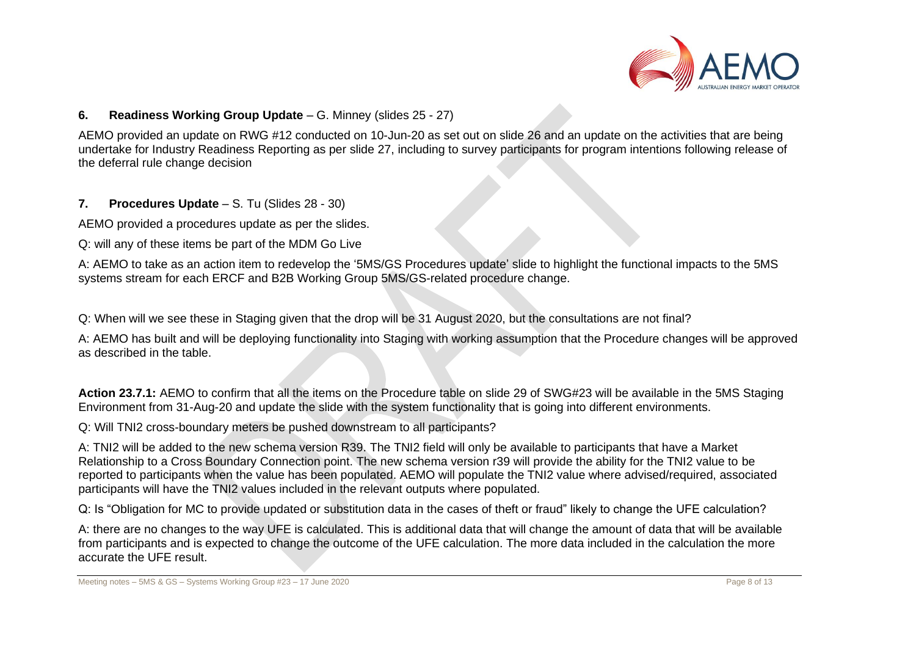

#### **6. Readiness Working Group Update** – G. Minney (slides 25 - 27)

AEMO provided an update on RWG #12 conducted on 10-Jun-20 as set out on slide 26 and an update on the activities that are being undertake for Industry Readiness Reporting as per slide 27, including to survey participants for program intentions following release of the deferral rule change decision

**7. Procedures Update** – S. Tu (Slides 28 - 30)

AEMO provided a procedures update as per the slides.

Q: will any of these items be part of the MDM Go Live

A: AEMO to take as an action item to redevelop the '5MS/GS Procedures update' slide to highlight the functional impacts to the 5MS systems stream for each ERCF and B2B Working Group 5MS/GS-related procedure change.

Q: When will we see these in Staging given that the drop will be 31 August 2020, but the consultations are not final?

A: AEMO has built and will be deploying functionality into Staging with working assumption that the Procedure changes will be approved as described in the table.

**Action 23.7.1:** AEMO to confirm that all the items on the Procedure table on slide 29 of SWG#23 will be available in the 5MS Staging Environment from 31-Aug-20 and update the slide with the system functionality that is going into different environments.

Q: Will TNI2 cross-boundary meters be pushed downstream to all participants?

A: TNI2 will be added to the new schema version R39. The TNI2 field will only be available to participants that have a Market Relationship to a Cross Boundary Connection point. The new schema version r39 will provide the ability for the TNI2 value to be reported to participants when the value has been populated. AEMO will populate the TNI2 value where advised/required, associated participants will have the TNI2 values included in the relevant outputs where populated.

Q: Is "Obligation for MC to provide updated or substitution data in the cases of theft or fraud" likely to change the UFE calculation?

A: there are no changes to the way UFE is calculated. This is additional data that will change the amount of data that will be available from participants and is expected to change the outcome of the UFE calculation. The more data included in the calculation the more accurate the UFE result.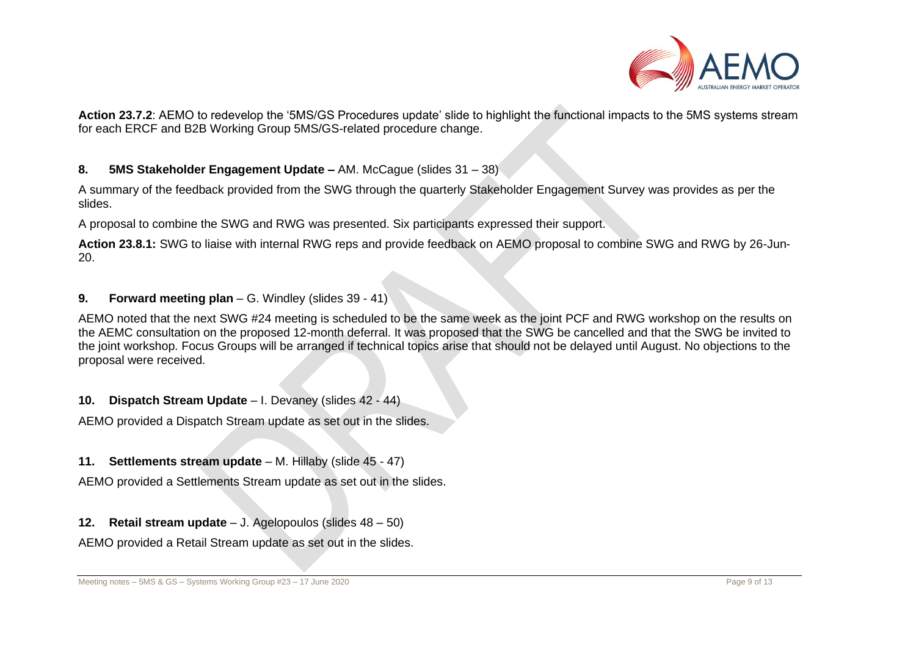

**Action 23.7.2**: AEMO to redevelop the '5MS/GS Procedures update' slide to highlight the functional impacts to the 5MS systems stream for each ERCF and B2B Working Group 5MS/GS-related procedure change.

#### **8. 5MS Stakeholder Engagement Update –** AM. McCague (slides 31 – 38)

A summary of the feedback provided from the SWG through the quarterly Stakeholder Engagement Survey was provides as per the slides.

A proposal to combine the SWG and RWG was presented. Six participants expressed their support.

**Action 23.8.1:** SWG to liaise with internal RWG reps and provide feedback on AEMO proposal to combine SWG and RWG by 26-Jun-20.

## **9. Forward meeting plan** – G. Windley (slides 39 - 41)

AEMO noted that the next SWG #24 meeting is scheduled to be the same week as the joint PCF and RWG workshop on the results on the AEMC consultation on the proposed 12-month deferral. It was proposed that the SWG be cancelled and that the SWG be invited to the joint workshop. Focus Groups will be arranged if technical topics arise that should not be delayed until August. No objections to the proposal were received.

#### **10. Dispatch Stream Update** – I. Devaney (slides 42 - 44)

AEMO provided a Dispatch Stream update as set out in the slides.

#### **11. Settlements stream update** – M. Hillaby (slide 45 - 47)

AEMO provided a Settlements Stream update as set out in the slides.

## **12. Retail stream update** – J. Agelopoulos (slides 48 – 50)

AEMO provided a Retail Stream update as set out in the slides.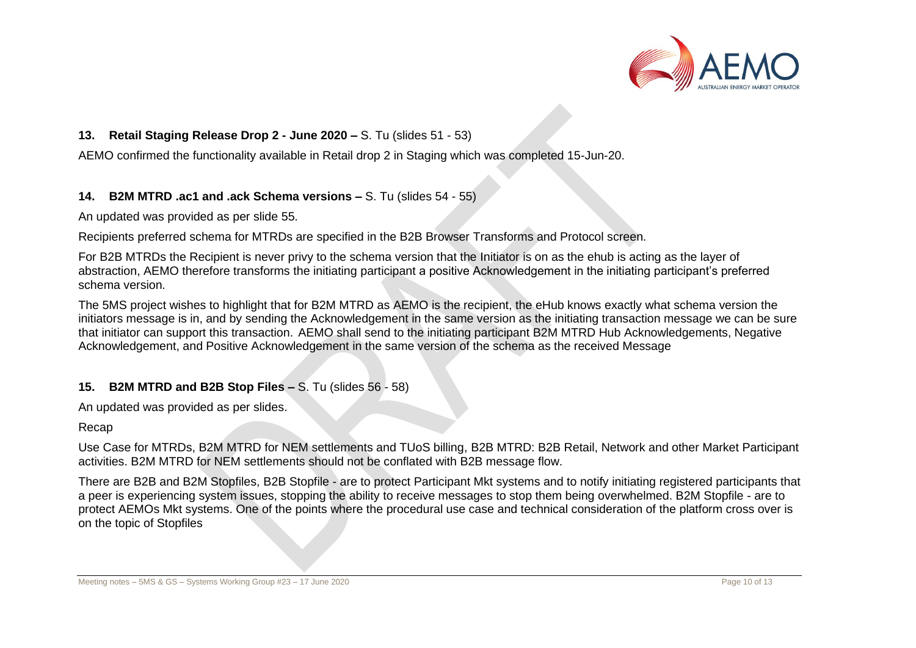

### **13. Retail Staging Release Drop 2 - June 2020 –** S. Tu (slides 51 - 53)

AEMO confirmed the functionality available in Retail drop 2 in Staging which was completed 15-Jun-20.

#### **14. B2M MTRD .ac1 and .ack Schema versions –** S. Tu (slides 54 - 55)

An updated was provided as per slide 55.

Recipients preferred schema for MTRDs are specified in the B2B Browser Transforms and Protocol screen.

For B2B MTRDs the Recipient is never privy to the schema version that the Initiator is on as the ehub is acting as the layer of abstraction, AEMO therefore transforms the initiating participant a positive Acknowledgement in the initiating participant's preferred schema version.

The 5MS project wishes to highlight that for B2M MTRD as AEMO is the recipient, the eHub knows exactly what schema version the initiators message is in, and by sending the Acknowledgement in the same version as the initiating transaction message we can be sure that initiator can support this transaction. AEMO shall send to the initiating participant B2M MTRD Hub Acknowledgements, Negative Acknowledgement, and Positive Acknowledgement in the same version of the schema as the received Message

## **15. B2M MTRD and B2B Stop Files –** S. Tu (slides 56 - 58)

An updated was provided as per slides.

#### Recap

Use Case for MTRDs, B2M MTRD for NEM settlements and TUoS billing, B2B MTRD: B2B Retail, Network and other Market Participant activities. B2M MTRD for NEM settlements should not be conflated with B2B message flow.

There are B2B and B2M Stopfiles, B2B Stopfile - are to protect Participant Mkt systems and to notify initiating registered participants that a peer is experiencing system issues, stopping the ability to receive messages to stop them being overwhelmed. B2M Stopfile - are to protect AEMOs Mkt systems. One of the points where the procedural use case and technical consideration of the platform cross over is on the topic of Stopfiles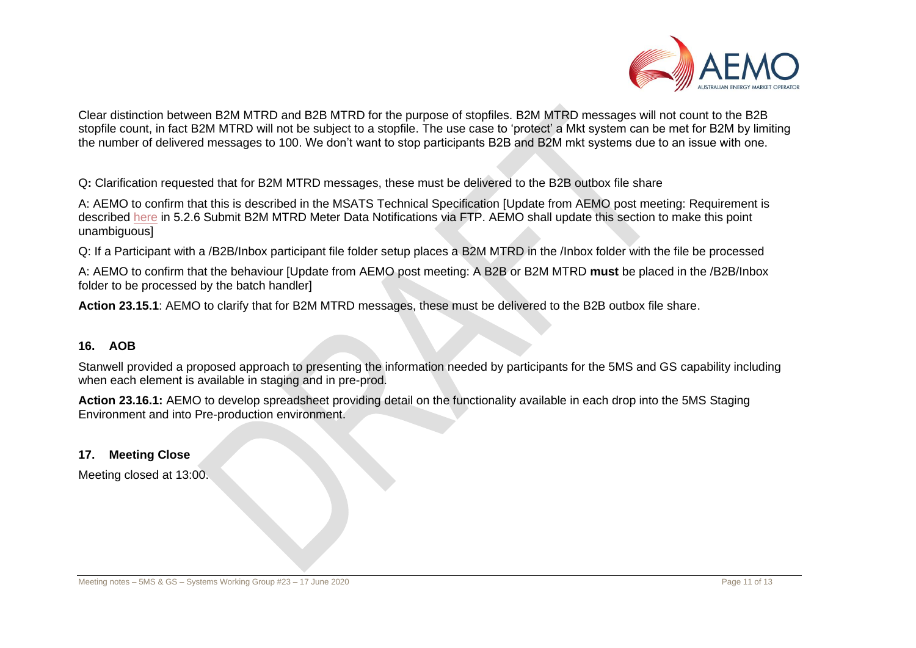

Clear distinction between B2M MTRD and B2B MTRD for the purpose of stopfiles. B2M MTRD messages will not count to the B2B stopfile count, in fact B2M MTRD will not be subject to a stopfile. The use case to 'protect' a Mkt system can be met for B2M by limiting the number of delivered messages to 100. We don't want to stop participants B2B and B2M mkt systems due to an issue with one.

Q**:** Clarification requested that for B2M MTRD messages, these must be delivered to the B2B outbox file share

A: AEMO to confirm that this is described in the MSATS Technical Specification [Update from AEMO post meeting: Requirement is described [here](https://www.aemo.com.au/-/media/files/electricity/nem/5ms/systems-workstream/2020/msats-release-schedule-and-technical-specification-5ms-meter-data.pdf?la=en&hash=0D3B33FDAFE90A50390E17CF1B408E6C) in 5.2.6 Submit B2M MTRD Meter Data Notifications via FTP. AEMO shall update this section to make this point unambiguous]

Q: If a Participant with a /B2B/Inbox participant file folder setup places a B2M MTRD in the /Inbox folder with the file be processed

A: AEMO to confirm that the behaviour [Update from AEMO post meeting: A B2B or B2M MTRD **must** be placed in the /B2B/Inbox folder to be processed by the batch handler]

**Action 23.15.1**: AEMO to clarify that for B2M MTRD messages, these must be delivered to the B2B outbox file share.

## **16. AOB**

Stanwell provided a proposed approach to presenting the information needed by participants for the 5MS and GS capability including when each element is available in staging and in pre-prod.

**Action 23.16.1:** AEMO to develop spreadsheet providing detail on the functionality available in each drop into the 5MS Staging Environment and into Pre-production environment.

## **17. Meeting Close**

Meeting closed at 13:00.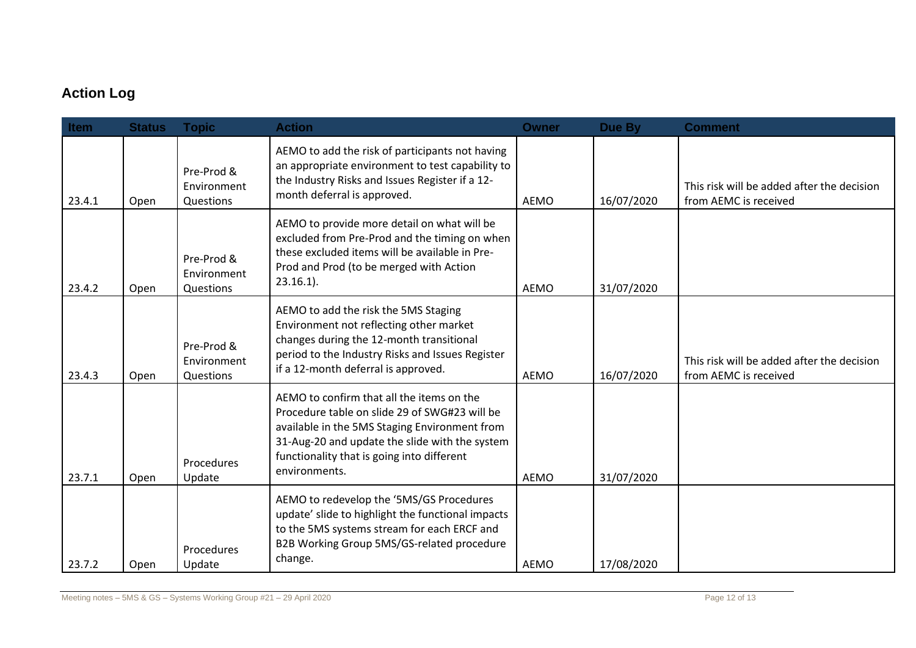## **Action Log**

| Item   | <b>Status</b> | <b>Topic</b>                           | <b>Action</b>                                                                                                                                                                                                                                                | <b>Owner</b> | Due By     | <b>Comment</b>                                                      |
|--------|---------------|----------------------------------------|--------------------------------------------------------------------------------------------------------------------------------------------------------------------------------------------------------------------------------------------------------------|--------------|------------|---------------------------------------------------------------------|
| 23.4.1 | Open          | Pre-Prod &<br>Environment<br>Questions | AEMO to add the risk of participants not having<br>an appropriate environment to test capability to<br>the Industry Risks and Issues Register if a 12-<br>month deferral is approved.                                                                        | AEMO         | 16/07/2020 | This risk will be added after the decision<br>from AEMC is received |
| 23.4.2 | Open          | Pre-Prod &<br>Environment<br>Questions | AEMO to provide more detail on what will be<br>excluded from Pre-Prod and the timing on when<br>these excluded items will be available in Pre-<br>Prod and Prod (to be merged with Action<br>$23.16.1$ ).                                                    | <b>AEMO</b>  | 31/07/2020 |                                                                     |
| 23.4.3 | Open          | Pre-Prod &<br>Environment<br>Questions | AEMO to add the risk the 5MS Staging<br>Environment not reflecting other market<br>changes during the 12-month transitional<br>period to the Industry Risks and Issues Register<br>if a 12-month deferral is approved.                                       | <b>AEMO</b>  | 16/07/2020 | This risk will be added after the decision<br>from AEMC is received |
| 23.7.1 | Open          | Procedures<br>Update                   | AEMO to confirm that all the items on the<br>Procedure table on slide 29 of SWG#23 will be<br>available in the 5MS Staging Environment from<br>31-Aug-20 and update the slide with the system<br>functionality that is going into different<br>environments. | AEMO         | 31/07/2020 |                                                                     |
| 23.7.2 | Open          | Procedures<br>Update                   | AEMO to redevelop the '5MS/GS Procedures<br>update' slide to highlight the functional impacts<br>to the 5MS systems stream for each ERCF and<br>B2B Working Group 5MS/GS-related procedure<br>change.                                                        | <b>AEMO</b>  | 17/08/2020 |                                                                     |